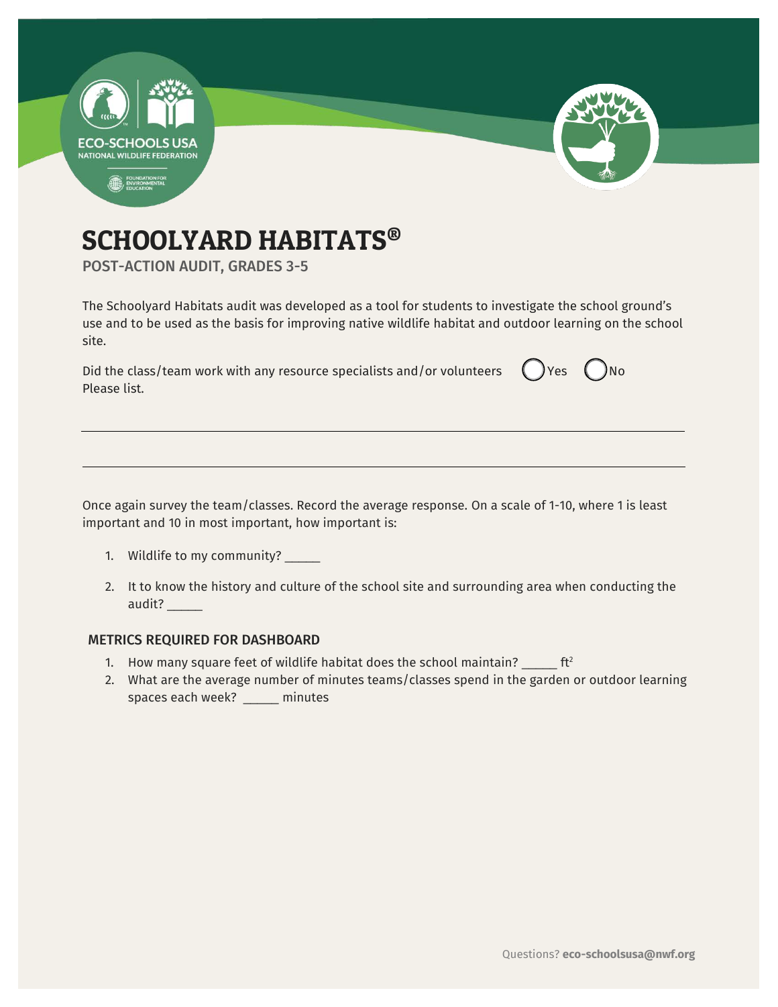

# SCHOOLYARD HABITATS®

POST-ACTION AUDIT, GRADES 3-5

The Schoolyard Habitats audit was developed as a tool for students to investigate the school ground's use and to be used as the basis for improving native wildlife habitat and outdoor learning on the school site.

Did the class/team work with any resource specialists and/or volunteers  $\Box$  Yes  $\Box$  No Please list.

Once again survey the team/classes. Record the average response. On a scale of 1-10, where 1 is least important and 10 in most important, how important is:

- 1. Wildlife to my community? \_\_\_\_\_
- 2. It to know the history and culture of the school site and surrounding area when conducting the audit? \_\_\_\_\_

### METRICS REQUIRED FOR DASHBOARD

- 1. How many square feet of wildlife habitat does the school maintain?  $\frac{1}{2}$  ft<sup>2</sup>
- 2. What are the average number of minutes teams/classes spend in the garden or outdoor learning spaces each week? \_\_\_\_\_ minutes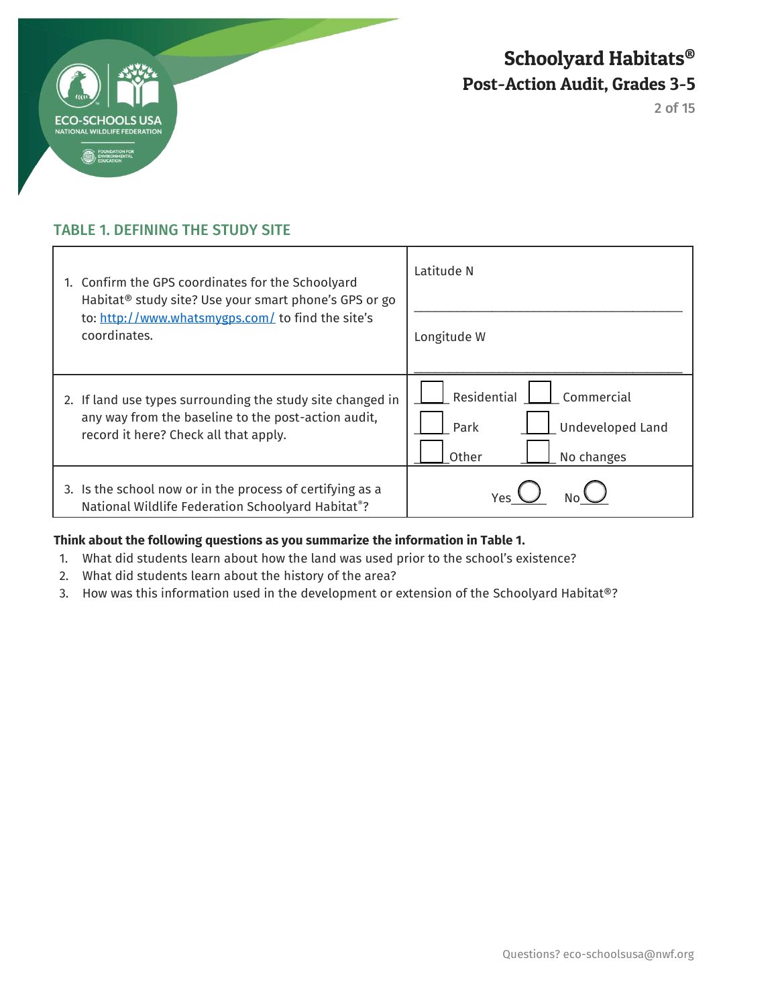

2 of 15

## TABLE 1. DEFINING THE STUDY SITE

| 1. Confirm the GPS coordinates for the Schoolyard<br>Habitat <sup>®</sup> study site? Use your smart phone's GPS or go<br>to: http://www.whatsmygps.com/ to find the site's<br>coordinates. | Latitude N<br>Longitude W                                                    |
|---------------------------------------------------------------------------------------------------------------------------------------------------------------------------------------------|------------------------------------------------------------------------------|
| 2. If land use types surrounding the study site changed in<br>any way from the baseline to the post-action audit,<br>record it here? Check all that apply.                                  | Residential<br>Commercial<br>Undeveloped Land<br>Park<br>Other<br>No changes |
| 3. Is the school now or in the process of certifying as a<br>National Wildlife Federation Schoolyard Habitat <sup>®</sup> ?                                                                 | Yes.                                                                         |

### **Think about the following questions as you summarize the information in Table 1.**

- 1. What did students learn about how the land was used prior to the school's existence?
- 2. What did students learn about the history of the area?
- 3. How was this information used in the development or extension of the Schoolyard Habitat®?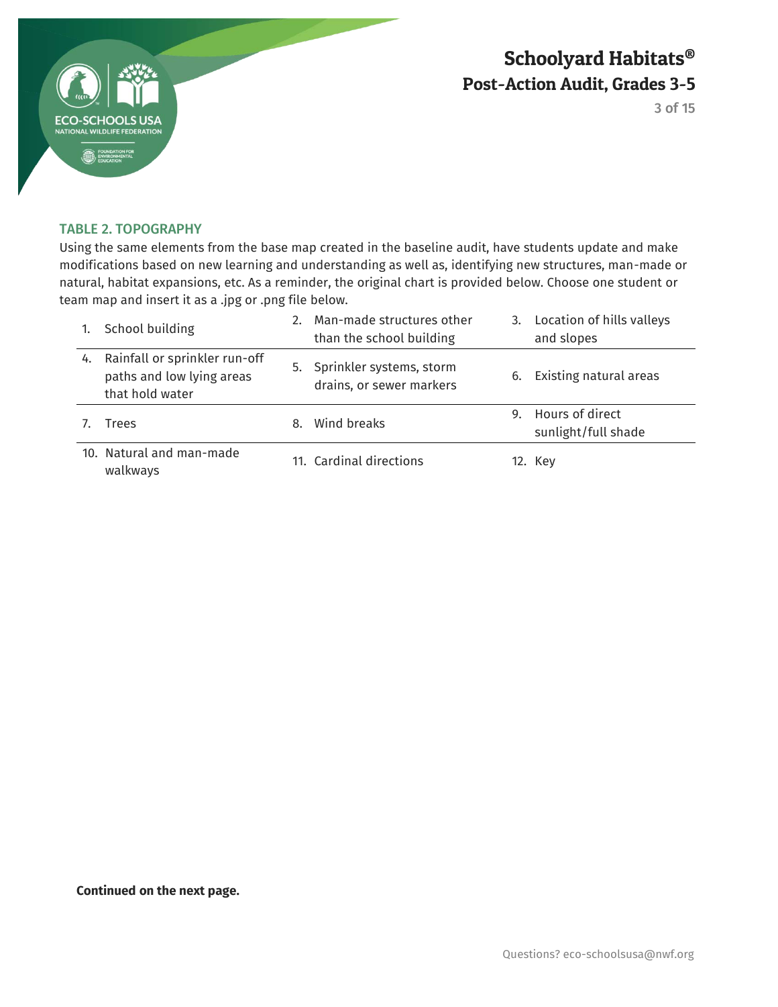

3 of 15

#### TABLE 2. TOPOGRAPHY

Using the same elements from the base map created in the baseline audit, have students update and make modifications based on new learning and understanding as well as, identifying new structures, man-made or natural, habitat expansions, etc. As a reminder, the original chart is provided below. Choose one student or team map and insert it as a .jpg or .png file below.

|    | School building                                                               |    | 2. Man-made structures other<br>than the school building |    | 3. Location of hills valleys<br>and slopes |
|----|-------------------------------------------------------------------------------|----|----------------------------------------------------------|----|--------------------------------------------|
| 4. | Rainfall or sprinkler run-off<br>paths and low lying areas<br>that hold water |    | 5. Sprinkler systems, storm<br>drains, or sewer markers  | 6. | Existing natural areas                     |
|    | Trees                                                                         | 8. | Wind breaks                                              |    | 9. Hours of direct<br>sunlight/full shade  |
|    | 10. Natural and man-made<br>walkways                                          |    | 11. Cardinal directions                                  |    | 12. Key                                    |

**Continued on the next page.**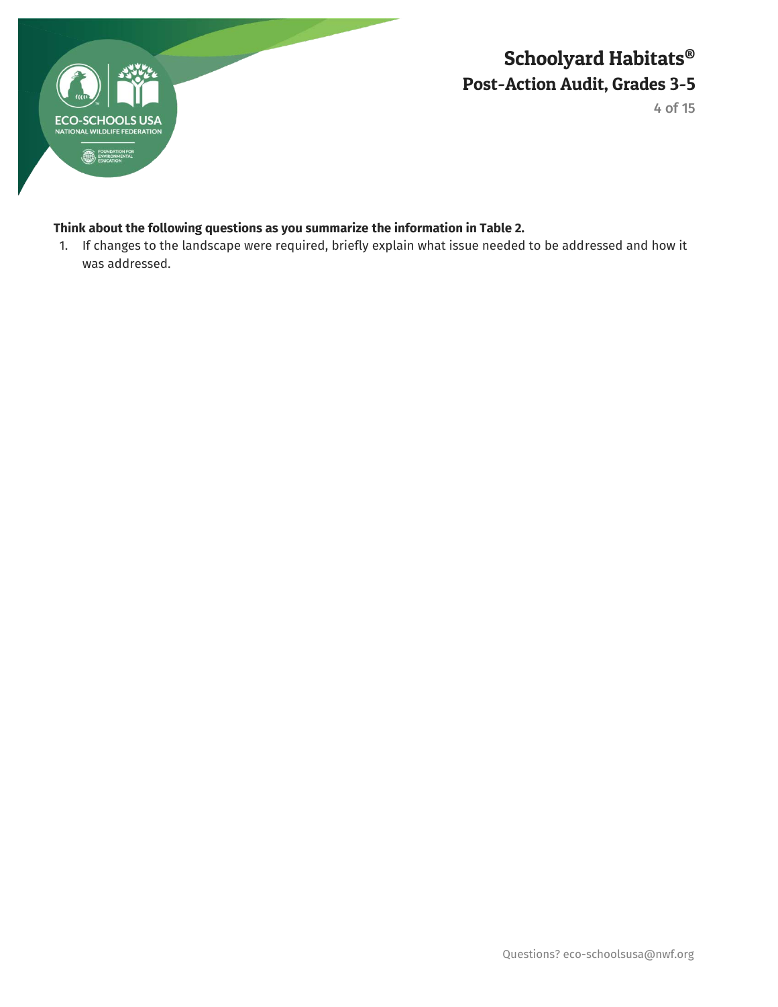

4 of 15

### **Think about the following questions as you summarize the information in Table 2.**

1. If changes to the landscape were required, briefly explain what issue needed to be addressed and how it was addressed.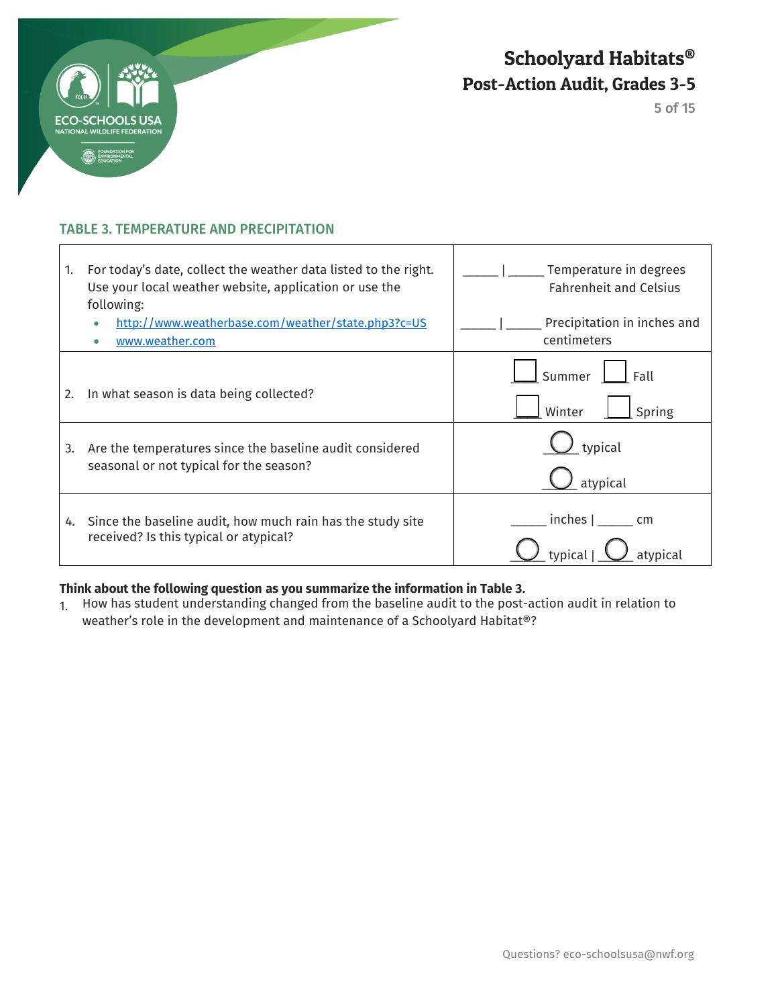

 $\mathsf{r}$ 

Schoolyard Habitats® Post-Action Audit, Grades 3-5

5 of 15

٦

### TABLE 3. TEMPERATURE AND PRECIPITATION

| 1. | For today's date, collect the weather data listed to the right.<br>Use your local weather website, application or use the<br>following: | Temperature in degrees<br><b>Fahrenheit and Celsius</b> |
|----|-----------------------------------------------------------------------------------------------------------------------------------------|---------------------------------------------------------|
|    | http://www.weatherbase.com/weather/state.php3?c=US<br>www.weather.com                                                                   | Precipitation in inches and<br>centimeters              |
| 2. | In what season is data being collected?                                                                                                 | Summer<br>Fall<br>Winter<br>Spring                      |
| 3. | Are the temperatures since the baseline audit considered<br>seasonal or not typical for the season?                                     | typical<br>atypical                                     |
|    | 4. Since the baseline audit, how much rain has the study site<br>received? Is this typical or atypical?                                 | inches  <br>cm                                          |

Τ

### **Think about the following question as you summarize the information in Table 3.**

1. How has student understanding changed from the baseline audit to the post-action audit in relation to weather's role in the development and maintenance of a Schoolyard Habitat®?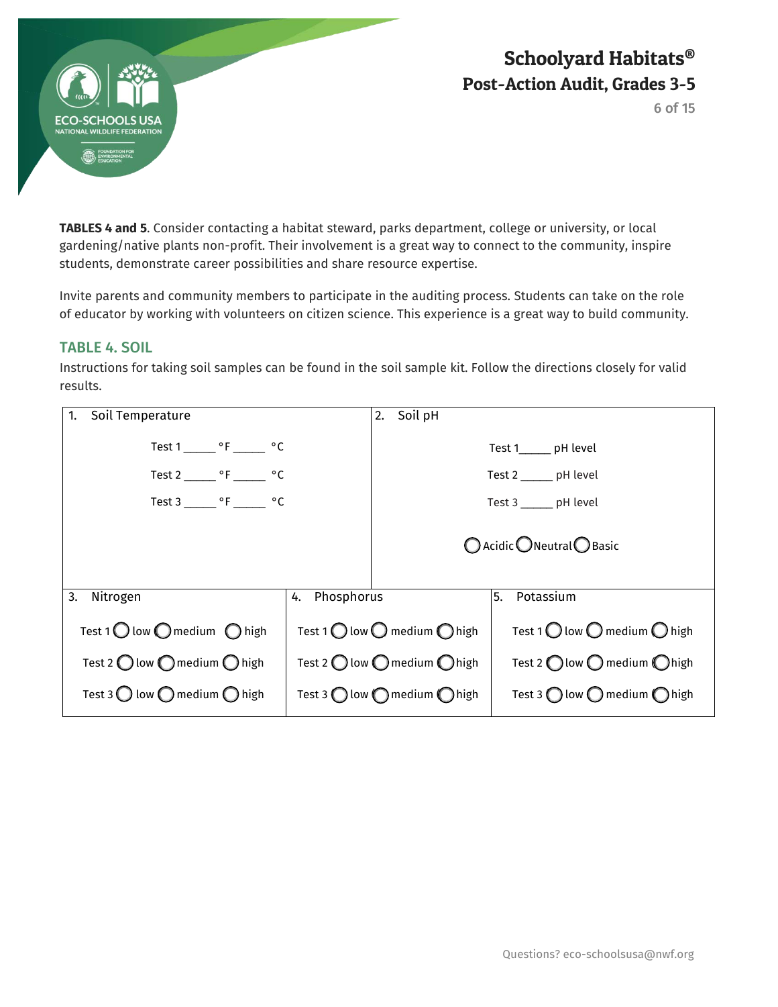

6 of 15

**TABLES 4 and 5**. Consider contacting a habitat steward, parks department, college or university, or local gardening/native plants non-profit. Their involvement is a great way to connect to the community, inspire students, demonstrate career possibilities and share resource expertise.

Invite parents and community members to participate in the auditing process. Students can take on the role of educator by working with volunteers on citizen science. This experience is a great way to build community.

## TABLE 4. SOIL

Instructions for taking soil samples can be found in the soil sample kit. Follow the directions closely for valid results.

| Soil Temperature<br>1.                                  |                  | Soil pH<br>2.                                           |                                                         |
|---------------------------------------------------------|------------------|---------------------------------------------------------|---------------------------------------------------------|
| Test 1 _______ °F _______ °C                            |                  |                                                         | Test 1_______ pH level                                  |
| Test 2 _______ °F ______ °C                             |                  |                                                         | Test 2 _______ pH level                                 |
| Test 3 _______ $\circ$ F _______ $\circ$ C              |                  |                                                         | Test $3 \_\_\_$ pH level                                |
|                                                         |                  |                                                         | $\bigcap$ Acidic $\bigcap$ Neutral $\bigcap$ Basic      |
| Nitrogen<br>3.                                          | Phosphorus<br>4. |                                                         | Potassium<br>5.                                         |
| Test 1 $\bigcirc$ low $\bigcirc$ medium $\bigcirc$ high |                  | Test 1 $\bigcirc$ low $\bigcirc$ medium $\bigcirc$ high | Test 1 $\bigcirc$ low $\bigcirc$ medium $\bigcirc$ high |
| Test 2 $\bigcirc$ low $\bigcirc$ medium $\bigcirc$ high |                  | Test 2 $\bigcirc$ low $\bigcirc$ medium $\bigcirc$ high | Test 2 $\bigcap$ low $\bigcap$ medium $\bigcap$ high    |
| Test 3 $\bigcirc$ low $\bigcirc$ medium $\bigcirc$ high |                  | Test 3 $\bigcap$ low $\bigcap$ medium $\bigcap$ high    | Test 3 $\bigcap$ low $\bigcap$ medium $\bigcap$ high    |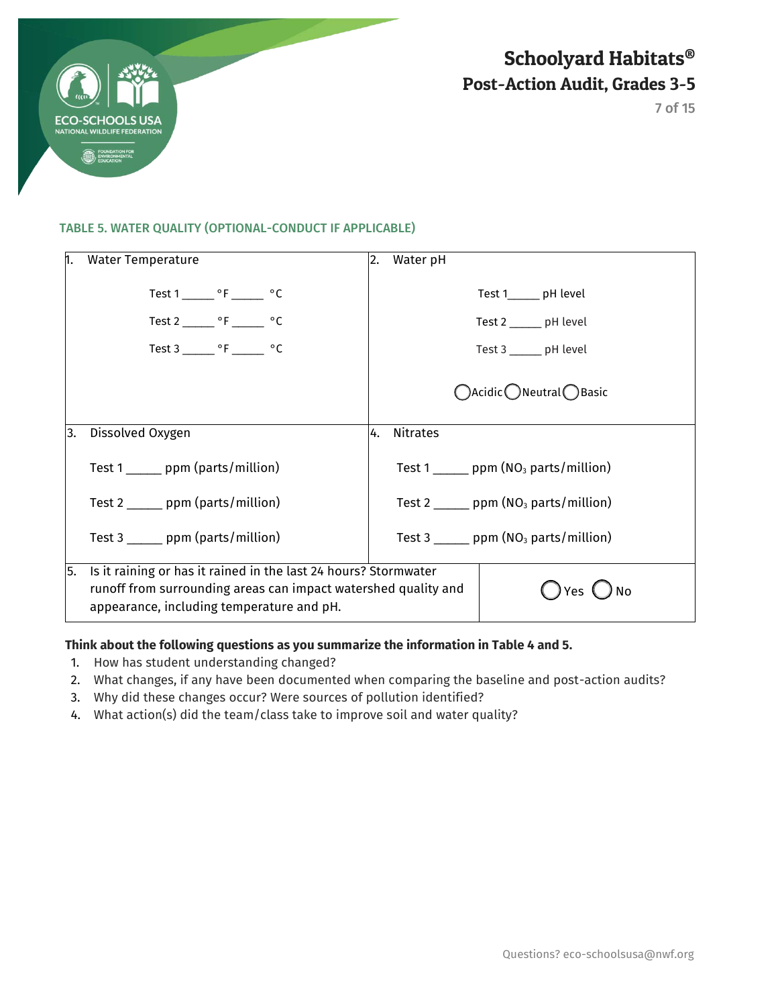

#### TABLE 5. WATER QUALITY (OPTIONAL-CONDUCT IF APPLICABLE)

| 1. | <b>Water Temperature</b>                                                                                                                                                       | 2. | Water pH                                            |
|----|--------------------------------------------------------------------------------------------------------------------------------------------------------------------------------|----|-----------------------------------------------------|
|    | Test $1 \_ {\text{max}}$ °F _______ °C                                                                                                                                         |    | Test 1_______ pH level                              |
|    | Test 2 _______ $\circ$ F ______ $\circ$ C                                                                                                                                      |    | Test 2 _______ pH level                             |
|    | Test 3 _______ °F _______ °C                                                                                                                                                   |    | Test 3 ______ pH level                              |
|    |                                                                                                                                                                                |    | ○Acidic ● Neutral ● Basic                           |
| 3. | Dissolved Oxygen                                                                                                                                                               | 4. | <b>Nitrates</b>                                     |
|    | Test 1 ______ ppm (parts/million)                                                                                                                                              |    | Test 1 ______ ppm $(NO3$ parts/million)             |
|    | Test $2 \_\_\_$ ppm (parts/million)                                                                                                                                            |    | Test 2 ______ ppm $(NO3$ parts/million)             |
|    | Test $3 \_\_\_\_$ ppm (parts/million)                                                                                                                                          |    | Test 3 $\_\_\_$ ppm (NO <sub>3</sub> parts/million) |
| 5. | Is it raining or has it rained in the last 24 hours? Stormwater<br>runoff from surrounding areas can impact watershed quality and<br>appearance, including temperature and pH. |    | ) No                                                |

### **Think about the following questions as you summarize the information in Table 4 and 5.**

- 1. How has student understanding changed?
- 2. What changes, if any have been documented when comparing the baseline and post-action audits?
- 3. Why did these changes occur? Were sources of pollution identified?
- 4. What action(s) did the team/class take to improve soil and water quality?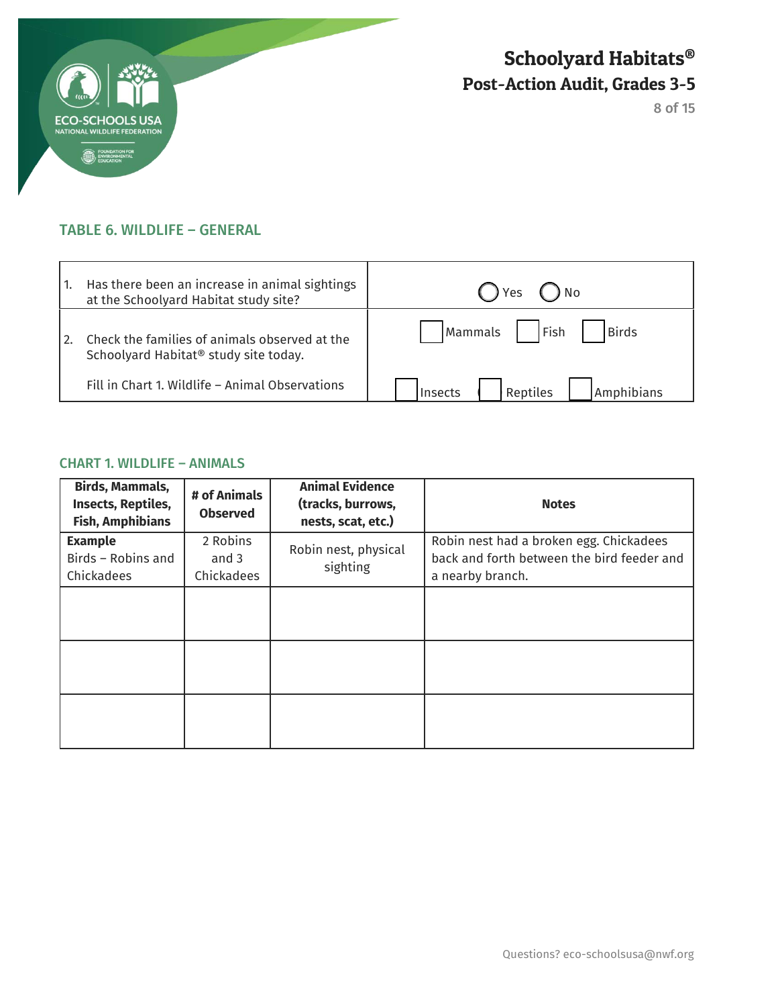

8 of 15

## TABLE 6. WILDLIFE – GENERAL

|     | Has there been an increase in animal sightings<br>at the Schoolyard Habitat study site?            | $\bigcap$ Yes '<br>) No                |
|-----|----------------------------------------------------------------------------------------------------|----------------------------------------|
| 12. | Check the families of animals observed at the<br>Schoolyard Habitat <sup>®</sup> study site today. | Fish<br><b>Birds</b><br><b>Mammals</b> |
|     | Fill in Chart 1. Wildlife - Animal Observations                                                    | Reptiles<br>Amphibians<br>Insects      |

## CHART 1. WILDLIFE – ANIMALS

| <b>Birds, Mammals,</b><br><b>Insects, Reptiles,</b><br><b>Fish, Amphibians</b> | # of Animals<br><b>Observed</b> | <b>Animal Evidence</b><br>(tracks, burrows,<br>nests, scat, etc.) | <b>Notes</b>                                                                                              |
|--------------------------------------------------------------------------------|---------------------------------|-------------------------------------------------------------------|-----------------------------------------------------------------------------------------------------------|
| <b>Example</b><br>Birds - Robins and<br>Chickadees                             | 2 Robins<br>and 3<br>Chickadees | Robin nest, physical<br>sighting                                  | Robin nest had a broken egg. Chickadees<br>back and forth between the bird feeder and<br>a nearby branch. |
|                                                                                |                                 |                                                                   |                                                                                                           |
|                                                                                |                                 |                                                                   |                                                                                                           |
|                                                                                |                                 |                                                                   |                                                                                                           |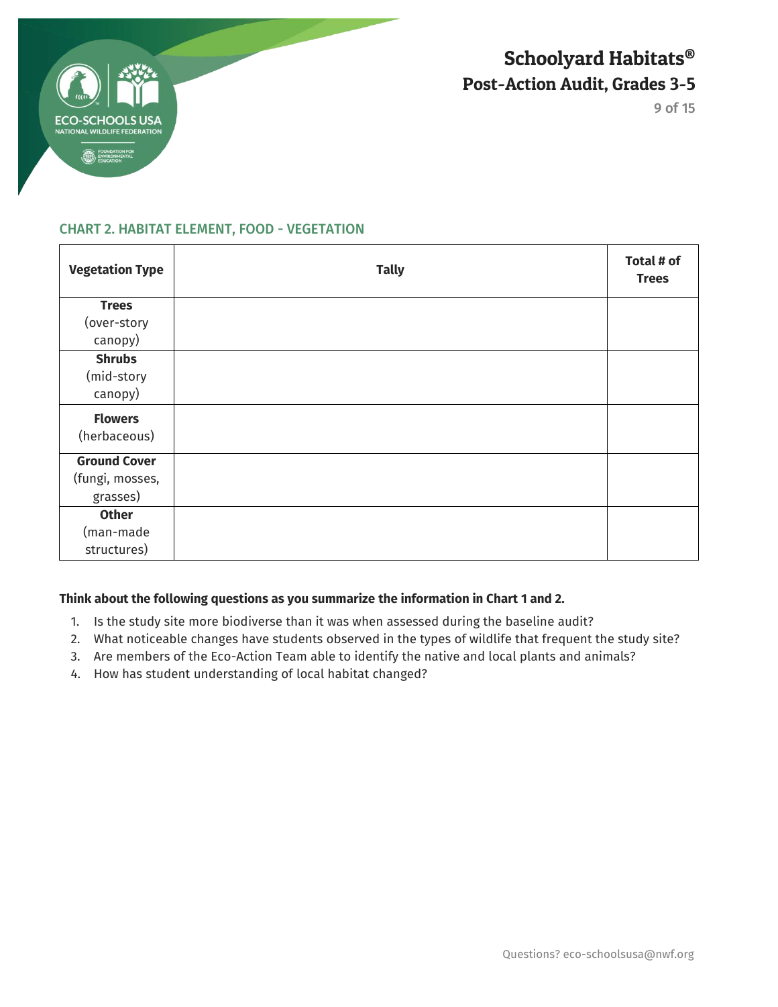

9 of 15

### CHART 2. HABITAT ELEMENT, FOOD - VEGETATION

| <b>Vegetation Type</b> | <b>Tally</b> | Total # of<br><b>Trees</b> |
|------------------------|--------------|----------------------------|
| <b>Trees</b>           |              |                            |
| (over-story            |              |                            |
| canopy)                |              |                            |
| <b>Shrubs</b>          |              |                            |
| (mid-story             |              |                            |
| canopy)                |              |                            |
| <b>Flowers</b>         |              |                            |
| (herbaceous)           |              |                            |
| <b>Ground Cover</b>    |              |                            |
| (fungi, mosses,        |              |                            |
| grasses)               |              |                            |
| <b>Other</b>           |              |                            |
| (man-made              |              |                            |
| structures)            |              |                            |

### **Think about the following questions as you summarize the information in Chart 1 and 2.**

- 1. Is the study site more biodiverse than it was when assessed during the baseline audit?
- 2. What noticeable changes have students observed in the types of wildlife that frequent the study site?
- 3. Are members of the Eco-Action Team able to identify the native and local plants and animals?
- 4. How has student understanding of local habitat changed?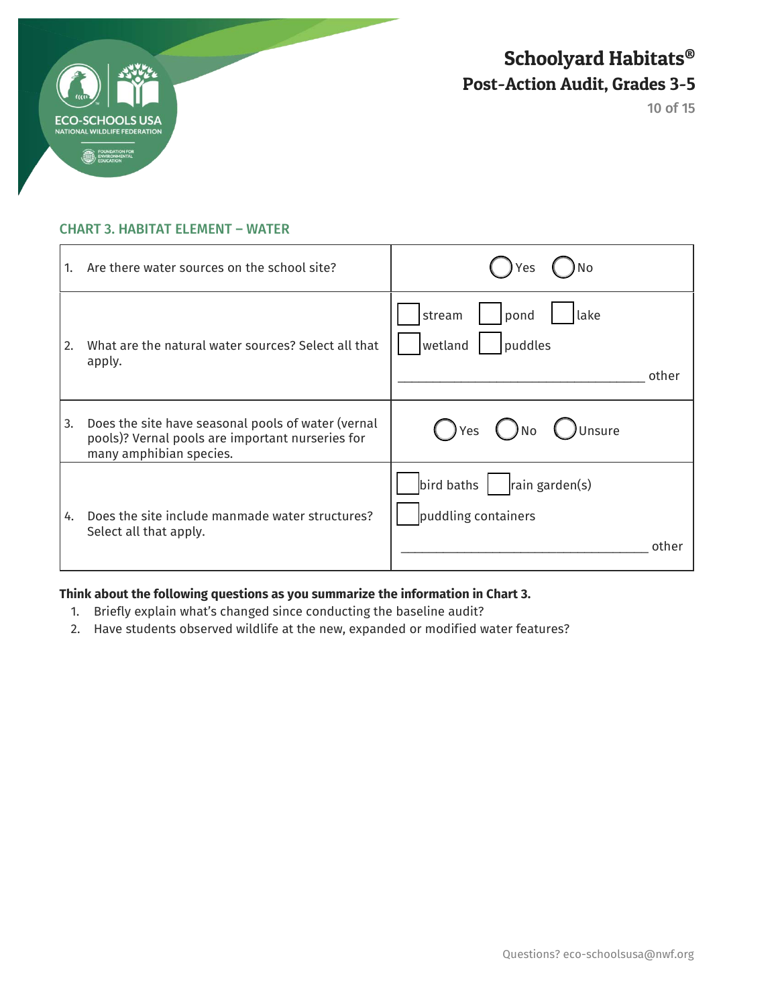

### CHART 3. HABITAT ELEMENT – WATER

| 1. | Are there water sources on the school site?                                                                                       | N <sub>o</sub><br>Yes                                        |
|----|-----------------------------------------------------------------------------------------------------------------------------------|--------------------------------------------------------------|
| 2. | What are the natural water sources? Select all that<br>apply.                                                                     | stream<br>lake<br>pond<br>puddles<br>wetland<br>other        |
| 3. | Does the site have seasonal pools of water (vernal<br>pools)? Vernal pools are important nurseries for<br>many amphibian species. | ◯ Unsure<br>$()$ No<br>( ) Yes                               |
| 4. | Does the site include manmade water structures?<br>Select all that apply.                                                         | bird baths<br>rain garden(s)<br>puddling containers<br>other |

## **Think about the following questions as you summarize the information in Chart 3.**

- 1. Briefly explain what's changed since conducting the baseline audit?
- 2. Have students observed wildlife at the new, expanded or modified water features?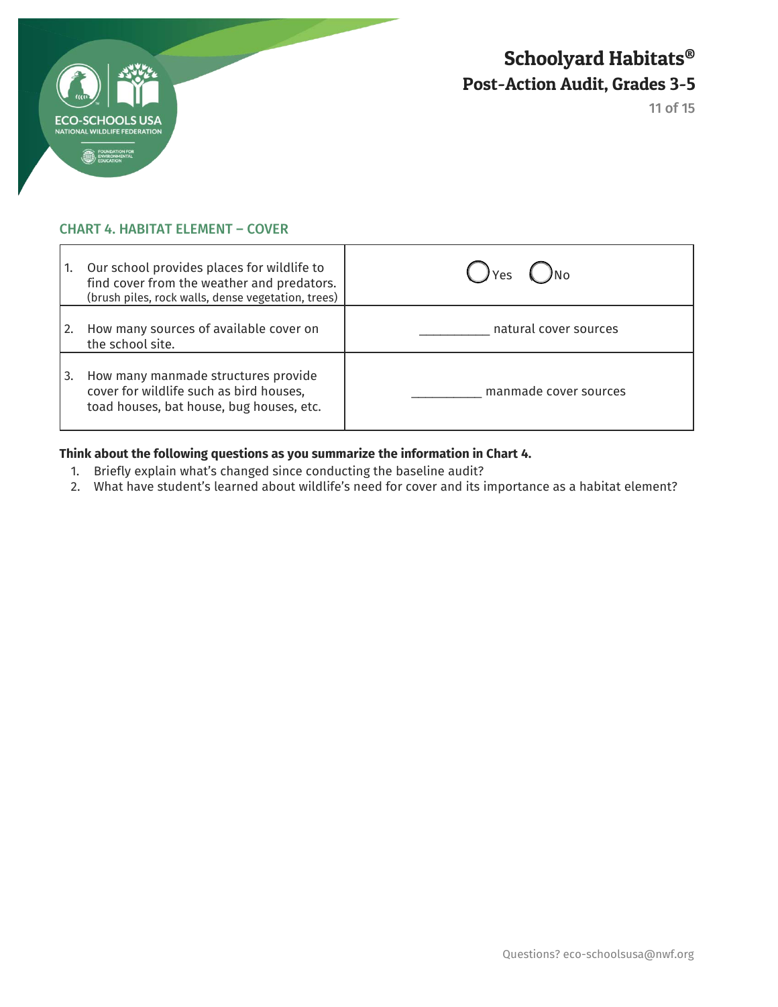

### CHART 4. HABITAT ELEMENT – COVER

| 1. | Our school provides places for wildlife to<br>find cover from the weather and predators.<br>(brush piles, rock walls, dense vegetation, trees) | Yes                   |
|----|------------------------------------------------------------------------------------------------------------------------------------------------|-----------------------|
| 2. | How many sources of available cover on<br>the school site.                                                                                     | natural cover sources |
| 3. | How many manmade structures provide<br>cover for wildlife such as bird houses,<br>toad houses, bat house, bug houses, etc.                     | manmade cover sources |

### **Think about the following questions as you summarize the information in Chart 4.**

- 1. Briefly explain what's changed since conducting the baseline audit?
- 2. What have student's learned about wildlife's need for cover and its importance as a habitat element?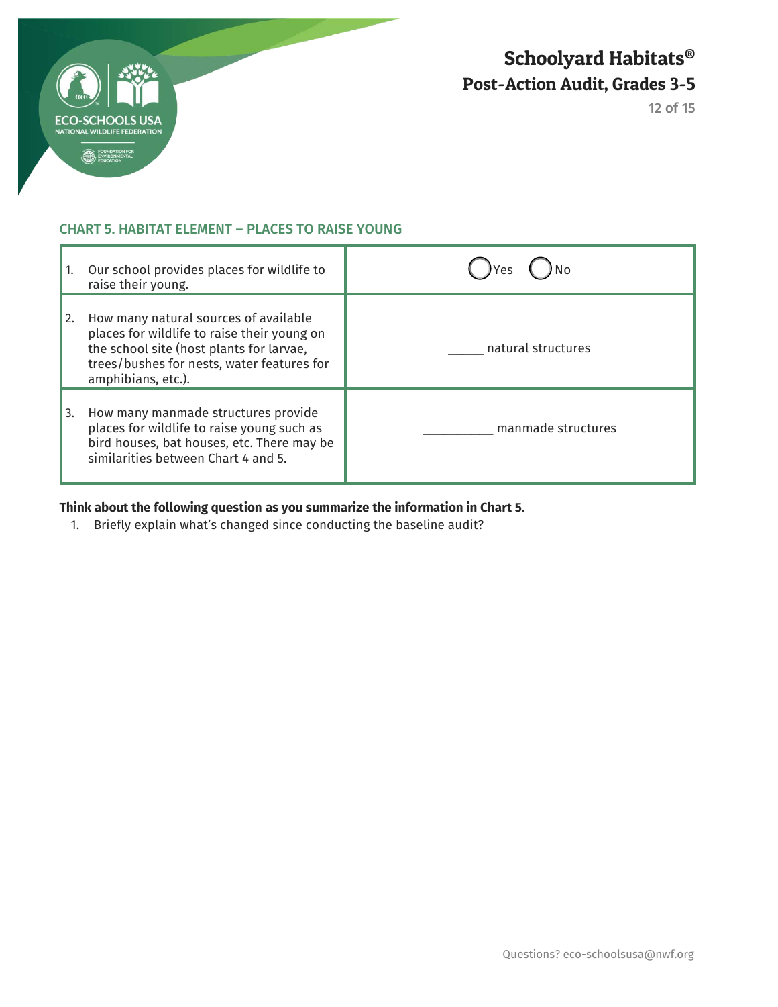

### CHART 5. HABITAT ELEMENT – PLACES TO RAISE YOUNG

|    | Our school provides places for wildlife to<br>raise their young.                                                                                                                                     | Yes                |
|----|------------------------------------------------------------------------------------------------------------------------------------------------------------------------------------------------------|--------------------|
| 2. | How many natural sources of available<br>places for wildlife to raise their young on<br>the school site (host plants for larvae,<br>trees/bushes for nests, water features for<br>amphibians, etc.). | natural structures |
| 3. | How many manmade structures provide<br>places for wildlife to raise young such as<br>bird houses, bat houses, etc. There may be<br>similarities between Chart 4 and 5.                               | manmade structures |

### **Think about the following question as you summarize the information in Chart 5.**

1. Briefly explain what's changed since conducting the baseline audit?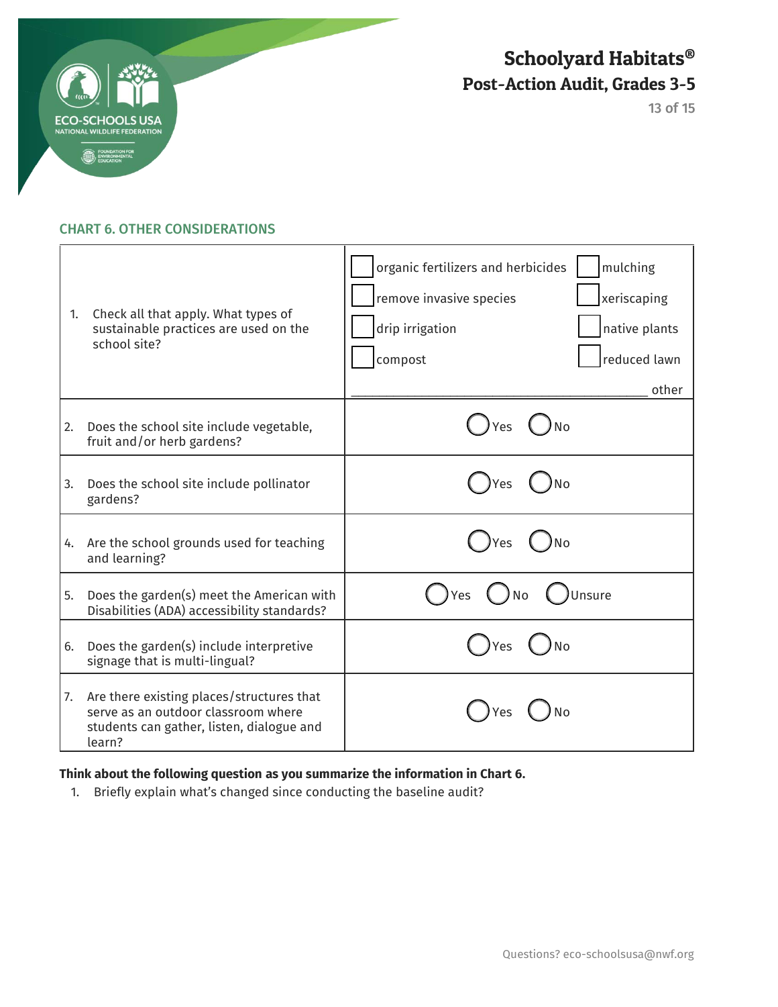

13 of 15

### CHART 6. OTHER CONSIDERATIONS

| 1. | Check all that apply. What types of<br>sustainable practices are used on the<br>school site?                                            | organic fertilizers and herbicides<br>mulching<br>remove invasive species<br>xeriscaping<br>drip irrigation<br>native plants<br>reduced lawn<br>compost<br>other |
|----|-----------------------------------------------------------------------------------------------------------------------------------------|------------------------------------------------------------------------------------------------------------------------------------------------------------------|
| 2. | Does the school site include vegetable,<br>fruit and/or herb gardens?                                                                   | No<br>Yes                                                                                                                                                        |
| 3. | Does the school site include pollinator<br>gardens?                                                                                     | Yes                                                                                                                                                              |
| 4. | Are the school grounds used for teaching<br>and learning?                                                                               | <b>No</b><br>Yes                                                                                                                                                 |
| 5. | Does the garden(s) meet the American with<br>Disabilities (ADA) accessibility standards?                                                | Unsure<br>Yes<br>No                                                                                                                                              |
| 6. | Does the garden(s) include interpretive<br>signage that is multi-lingual?                                                               | Yes                                                                                                                                                              |
| 7. | Are there existing places/structures that<br>serve as an outdoor classroom where<br>students can gather, listen, dialogue and<br>learn? |                                                                                                                                                                  |

## **Think about the following question as you summarize the information in Chart 6.**

1. Briefly explain what's changed since conducting the baseline audit?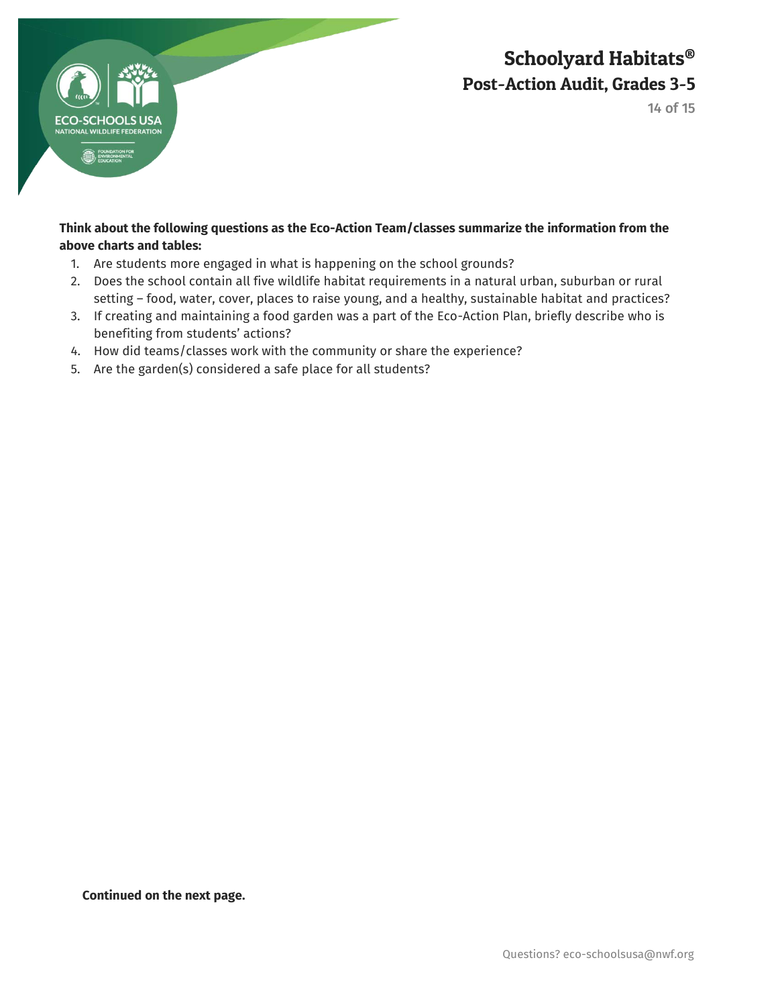

14 of 15

### **Think about the following questions as the Eco-Action Team/classes summarize the information from the above charts and tables:**

- 1. Are students more engaged in what is happening on the school grounds?
- 2. Does the school contain all five wildlife habitat requirements in a natural urban, suburban or rural setting – food, water, cover, places to raise young, and a healthy, sustainable habitat and practices?
- 3. If creating and maintaining a food garden was a part of the Eco-Action Plan, briefly describe who is benefiting from students' actions?
- 4. How did teams/classes work with the community or share the experience?
- 5. Are the garden(s) considered a safe place for all students?

**Continued on the next page.**